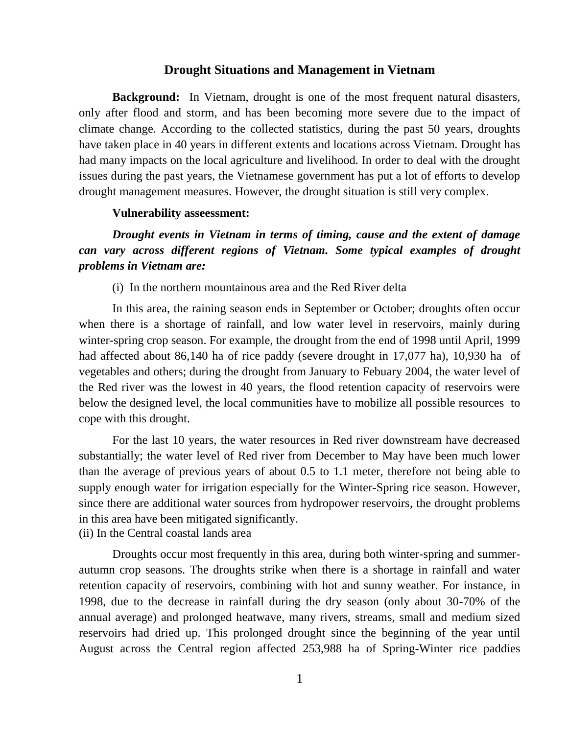#### **Drought Situations and Management in Vietnam**

**Background:** In Vietnam, drought is one of the most frequent natural disasters, only after flood and storm, and has been becoming more severe due to the impact of climate change. According to the collected statistics, during the past 50 years, droughts have taken place in 40 years in different extents and locations across Vietnam. Drought has had many impacts on the local agriculture and livelihood. In order to deal with the drought issues during the past years, the Vietnamese government has put a lot of efforts to develop drought management measures. However, the drought situation is still very complex.

#### **Vulnerability asseessment:**

*Drought events in Vietnam in terms of timing, cause and the extent of damage can vary across different regions of Vietnam. Some typical examples of drought problems in Vietnam are:*

(i) In the northern mountainous area and the Red River delta

In this area, the raining season ends in September or October; droughts often occur when there is a shortage of rainfall, and low water level in reservoirs, mainly during winter-spring crop season. For example, the drought from the end of 1998 until April, 1999 had affected about 86,140 ha of rice paddy (severe drought in 17,077 ha), 10,930 ha of vegetables and others; during the drought from January to Febuary 2004, the water level of the Red river was the lowest in 40 years, the flood retention capacity of reservoirs were below the designed level, the local communities have to mobilize all possible resources to cope with this drought.

For the last 10 years, the water resources in Red river downstream have decreased substantially; the water level of Red river from December to May have been much lower than the average of previous years of about 0.5 to 1.1 meter, therefore not being able to supply enough water for irrigation especially for the Winter-Spring rice season. However, since there are additional water sources from hydropower reservoirs, the drought problems in this area have been mitigated significantly.

(ii) In the Central coastal lands area

Droughts occur most frequently in this area, during both winter-spring and summerautumn crop seasons. The droughts strike when there is a shortage in rainfall and water retention capacity of reservoirs, combining with hot and sunny weather. For instance, in 1998, due to the decrease in rainfall during the dry season (only about 30-70% of the annual average) and prolonged heatwave, many rivers, streams, small and medium sized reservoirs had dried up. This prolonged drought since the beginning of the year until August across the Central region affected 253,988 ha of Spring-Winter rice paddies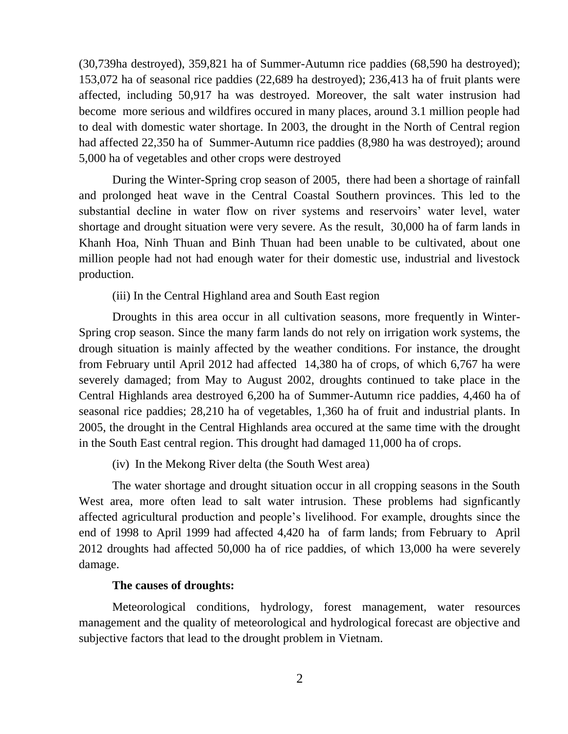(30,739ha destroyed), 359,821 ha of Summer-Autumn rice paddies (68,590 ha destroyed); 153,072 ha of seasonal rice paddies (22,689 ha destroyed); 236,413 ha of fruit plants were affected, including 50,917 ha was destroyed. Moreover, the salt water instrusion had become more serious and wildfires occured in many places, around 3.1 million people had to deal with domestic water shortage. In 2003, the drought in the North of Central region had affected 22,350 ha of Summer-Autumn rice paddies (8,980 ha was destroyed); around 5,000 ha of vegetables and other crops were destroyed

During the Winter-Spring crop season of 2005, there had been a shortage of rainfall and prolonged heat wave in the Central Coastal Southern provinces. This led to the substantial decline in water flow on river systems and reservoirs' water level, water shortage and drought situation were very severe. As the result, 30,000 ha of farm lands in Khanh Hoa, Ninh Thuan and Binh Thuan had been unable to be cultivated, about one million people had not had enough water for their domestic use, industrial and livestock production.

(iii) In the Central Highland area and South East region

Droughts in this area occur in all cultivation seasons, more frequently in Winter-Spring crop season. Since the many farm lands do not rely on irrigation work systems, the drough situation is mainly affected by the weather conditions. For instance, the drought from February until April 2012 had affected 14,380 ha of crops, of which 6,767 ha were severely damaged; from May to August 2002, droughts continued to take place in the Central Highlands area destroyed 6,200 ha of Summer-Autumn rice paddies, 4,460 ha of seasonal rice paddies; 28,210 ha of vegetables, 1,360 ha of fruit and industrial plants. In 2005, the drought in the Central Highlands area occured at the same time with the drought in the South East central region. This drought had damaged 11,000 ha of crops.

(iv) In the Mekong River delta (the South West area)

The water shortage and drought situation occur in all cropping seasons in the South West area, more often lead to salt water intrusion. These problems had signficantly affected agricultural production and people's livelihood. For example, droughts since the end of 1998 to April 1999 had affected 4,420 ha of farm lands; from February to April 2012 droughts had affected 50,000 ha of rice paddies, of which 13,000 ha were severely damage.

### **The causes of droughts:**

Meteorological conditions, hydrology, forest management, water resources management and the quality of meteorological and hydrological forecast are objective and subjective factors that lead to the drought problem in Vietnam.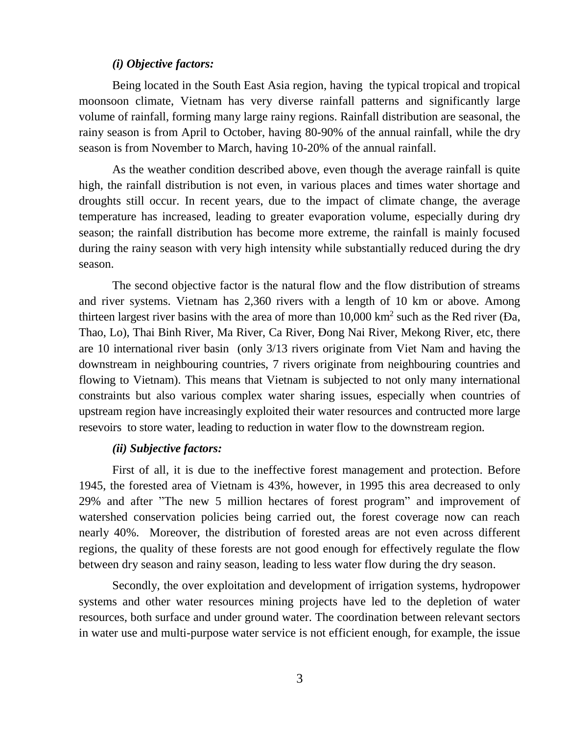#### *(i) Objective factors:*

Being located in the South East Asia region, having the typical tropical and tropical moonsoon climate, Vietnam has very diverse rainfall patterns and significantly large volume of rainfall, forming many large rainy regions. Rainfall distribution are seasonal, the rainy season is from April to October, having 80-90% of the annual rainfall, while the dry season is from November to March, having 10-20% of the annual rainfall.

As the weather condition described above, even though the average rainfall is quite high, the rainfall distribution is not even, in various places and times water shortage and droughts still occur. In recent years, due to the impact of climate change, the average temperature has increased, leading to greater evaporation volume, especially during dry season; the rainfall distribution has become more extreme, the rainfall is mainly focused during the rainy season with very high intensity while substantially reduced during the dry season.

The second objective factor is the natural flow and the flow distribution of streams and river systems. Vietnam has 2,360 rivers with a length of 10 km or above. Among thirteen largest river basins with the area of more than  $10{,}000 \text{ km}^2$  such as the Red river (Da, Thao, Lo), Thai Binh River, Ma River, Ca River, Đong Nai River, Mekong River, etc, there are 10 international river basin (only 3/13 rivers originate from Viet Nam and having the downstream in neighbouring countries, 7 rivers originate from neighbouring countries and flowing to Vietnam). This means that Vietnam is subjected to not only many international constraints but also various complex water sharing issues, especially when countries of upstream region have increasingly exploited their water resources and contructed more large resevoirs to store water, leading to reduction in water flow to the downstream region.

## *(ii) Subjective factors:*

First of all, it is due to the ineffective forest management and protection. Before 1945, the forested area of Vietnam is 43%, however, in 1995 this area decreased to only 29% and after "The new 5 million hectares of forest program" and improvement of watershed conservation policies being carried out, the forest coverage now can reach nearly 40%. Moreover, the distribution of forested areas are not even across different regions, the quality of these forests are not good enough for effectively regulate the flow between dry season and rainy season, leading to less water flow during the dry season.

Secondly, the over exploitation and development of irrigation systems, hydropower systems and other water resources mining projects have led to the depletion of water resources, both surface and under ground water. The coordination between relevant sectors in water use and multi-purpose water service is not efficient enough, for example, the issue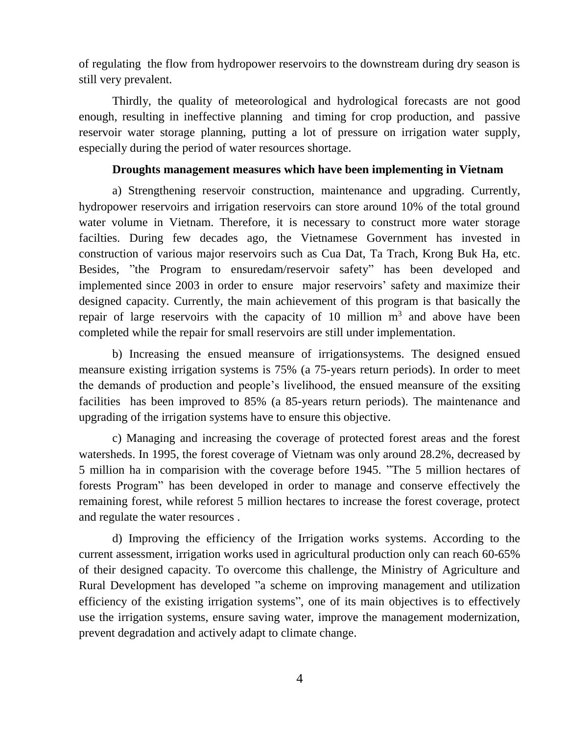of regulating the flow from hydropower reservoirs to the downstream during dry season is still very prevalent.

Thirdly, the quality of meteorological and hydrological forecasts are not good enough, resulting in ineffective planning and timing for crop production, and passive reservoir water storage planning, putting a lot of pressure on irrigation water supply, especially during the period of water resources shortage.

## **Droughts management measures which have been implementing in Vietnam**

a) Strengthening reservoir construction, maintenance and upgrading. Currently, hydropower reservoirs and irrigation reservoirs can store around 10% of the total ground water volume in Vietnam. Therefore, it is necessary to construct more water storage facilties. During few decades ago, the Vietnamese Government has invested in construction of various major reservoirs such as Cua Dat, Ta Trach, Krong Buk Ha, etc. Besides, "the Program to ensuredam/reservoir safety" has been developed and implemented since 2003 in order to ensure major reservoirs' safety and maximize their designed capacity. Currently, the main achievement of this program is that basically the repair of large reservoirs with the capacity of 10 million  $m<sup>3</sup>$  and above have been completed while the repair for small reservoirs are still under implementation.

b) Increasing the ensued meansure of irrigationsystems. The designed ensued meansure existing irrigation systems is 75% (a 75-years return periods). In order to meet the demands of production and people's livelihood, the ensued meansure of the exsiting facilities has been improved to 85% (a 85-years return periods). The maintenance and upgrading of the irrigation systems have to ensure this objective.

c) Managing and increasing the coverage of protected forest areas and the forest watersheds. In 1995, the forest coverage of Vietnam was only around 28.2%, decreased by 5 million ha in comparision with the coverage before 1945. "The 5 million hectares of forests Program" has been developed in order to manage and conserve effectively the remaining forest, while reforest 5 million hectares to increase the forest coverage, protect and regulate the water resources .

d) Improving the efficiency of the Irrigation works systems. According to the current assessment, irrigation works used in agricultural production only can reach 60-65% of their designed capacity. To overcome this challenge, the Ministry of Agriculture and Rural Development has developed "a scheme on improving management and utilization efficiency of the existing irrigation systems", one of its main objectives is to effectively use the irrigation systems, ensure saving water, improve the management modernization, prevent degradation and actively adapt to climate change.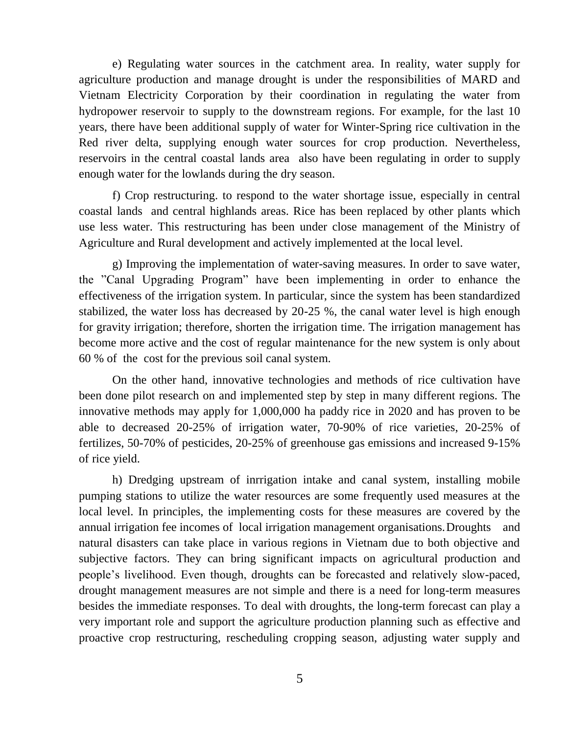e) Regulating water sources in the catchment area. In reality, water supply for agriculture production and manage drought is under the responsibilities of MARD and Vietnam Electricity Corporation by their coordination in regulating the water from hydropower reservoir to supply to the downstream regions. For example, for the last 10 years, there have been additional supply of water for Winter-Spring rice cultivation in the Red river delta, supplying enough water sources for crop production. Nevertheless, reservoirs in the central coastal lands area also have been regulating in order to supply enough water for the lowlands during the dry season.

f) Crop restructuring. to respond to the water shortage issue, especially in central coastal lands and central highlands areas. Rice has been replaced by other plants which use less water. This restructuring has been under close management of the Ministry of Agriculture and Rural development and actively implemented at the local level.

g) Improving the implementation of water-saving measures. In order to save water, the "Canal Upgrading Program" have been implementing in order to enhance the effectiveness of the irrigation system. In particular, since the system has been standardized stabilized, the water loss has decreased by 20-25 %, the canal water level is high enough for gravity irrigation; therefore, shorten the irrigation time. The irrigation management has become more active and the cost of regular maintenance for the new system is only about 60 % of the cost for the previous soil canal system.

On the other hand, innovative technologies and methods of rice cultivation have been done pilot research on and implemented step by step in many different regions. The innovative methods may apply for 1,000,000 ha paddy rice in 2020 and has proven to be able to decreased 20-25% of irrigation water, 70-90% of rice varieties, 20-25% of fertilizes, 50-70% of pesticides, 20-25% of greenhouse gas emissions and increased 9-15% of rice yield.

h) Dredging upstream of inrrigation intake and canal system, installing mobile pumping stations to utilize the water resources are some frequently used measures at the local level. In principles, the implementing costs for these measures are covered by the annual irrigation fee incomes of local irrigation management organisations.Droughts and natural disasters can take place in various regions in Vietnam due to both objective and subjective factors. They can bring significant impacts on agricultural production and people's livelihood. Even though, droughts can be forecasted and relatively slow-paced, drought management measures are not simple and there is a need for long-term measures besides the immediate responses. To deal with droughts, the long-term forecast can play a very important role and support the agriculture production planning such as effective and proactive crop restructuring, rescheduling cropping season, adjusting water supply and